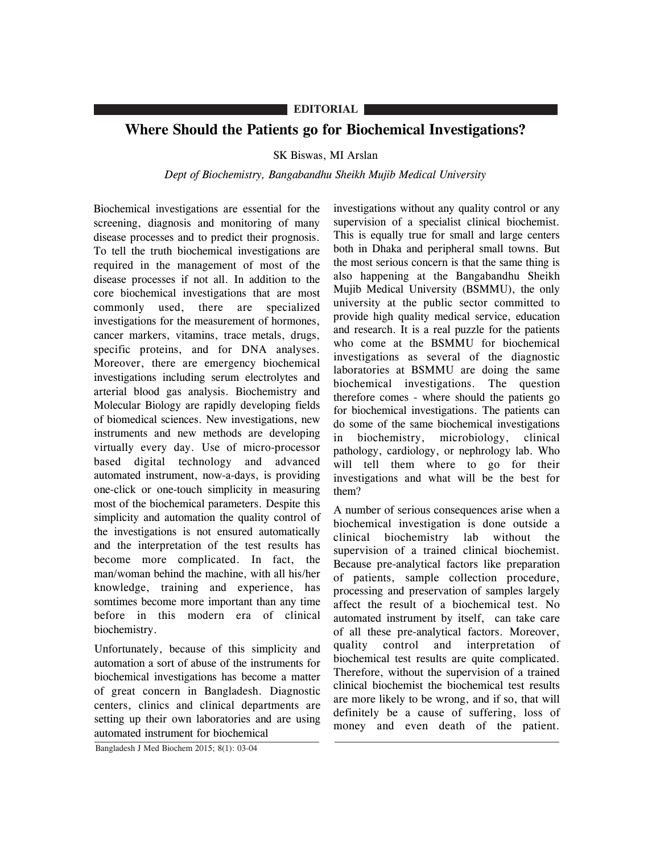## **EDITORIAL**

## **Where Should the Patients go for Biochemical Investigations?**

## SK Biswas, MI Arslan

## *Dept of Biochemistry, Bangabandhu Sheikh Mujib Medical University*

Biochemical investigations are essential for the screening, diagnosis and monitoring of many disease processes and to predict their prognosis. To tell the truth biochemical investigations are required in the management of most of the disease processes if not all. In addition to the core biochemical investigations that are most commonly used, there are specialized investigations for the measurement of hormones, cancer markers, vitamins, trace metals, drugs, specific proteins, and for DNA analyses. Moreover, there are emergency biochemical investigations including serum electrolytes and arterial blood gas analysis. Biochemistry and Molecular Biology are rapidly developing fields of biomedical sciences. New investigations, new instruments and new methods are developing virtually every day. Use of micro-processor based digital technology and advanced automated instrument, now-a-days, is providing one-click or one-touch simplicity in measuring most of the biochemical parameters. Despite this simplicity and automation the quality control of the investigations is not ensured automatically and the interpretation of the test results has become more complicated. In fact, the man/woman behind the machine, with all his/her knowledge, training and experience, has somtimes become more important than any time before in this modern era of clinical biochemistry.

Unfortunately, because of this simplicity and automation a sort of abuse of the instruments for biochemical investigations has become a matter of great concern in Bangladesh. Diagnostic centers, clinics and clinical departments are setting up their own laboratories and are using automated instrument for biochemical

investigations without any quality control or any supervision of a specialist clinical biochemist. This is equally true for small and large centers both in Dhaka and peripheral small towns. But the most serious concern is that the same thing is also happening at the Bangabandhu Sheikh Mujib Medical University (BSMMU), the only university at the public sector committed to provide high quality medical service, education and research. It is a real puzzle for the patients who come at the BSMMU for biochemical investigations as several of the diagnostic laboratories at BSMMU are doing the same biochemical investigations. The question therefore comes - where should the patients go for biochemical investigations. The patients can do some of the same biochemical investigations in biochemistry, microbiology, clinical pathology, cardiology, or nephrology lab. Who will tell them where to go for their investigations and what will be the best for them?

A number of serious consequences arise when a biochemical investigation is done outside a clinical biochemistry lab without the supervision of a trained clinical biochemist. Because pre-analytical factors like preparation of patients, sample collection procedure, processing and preservation of samples largely affect the result of a biochemical test. No automated instrument by itself, can take care of all these pre-analytical factors. Moreover, quality control and interpretation of biochemical test results are quite complicated. Therefore, without the supervision of a trained clinical biochemist the biochemical test results are more likely to be wrong, and if so, that will definitely be a cause of suffering, loss of money and even death of the patient.

Bangladesh J Med Biochem 2015; 8(1): 03-04